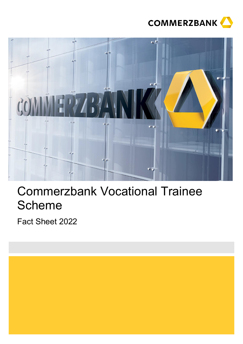



## Commerzbank Vocational Trainee Scheme

Fact Sheet 2022

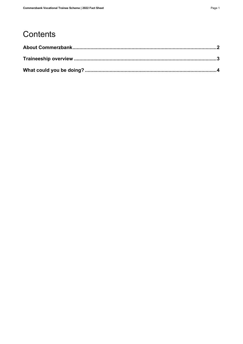## Contents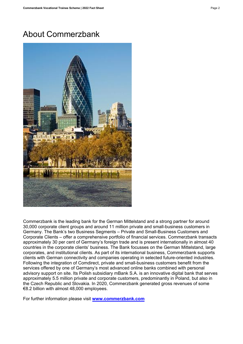## About Commerzbank

<span id="page-2-0"></span>

Commerzbank is the leading bank for the German Mittelstand and a strong partner for around 30,000 corporate client groups and around 11 million private and small-business customers in Germany. The Bank's two Business Segments – Private and Small-Business Customers and Corporate Clients – offer a comprehensive portfolio of financial services. Commerzbank transacts approximately 30 per cent of Germany's foreign trade and is present internationally in almost 40 countries in the corporate clients' business. The Bank focusses on the German Mittelstand, large corporates, and institutional clients. As part of its international business, Commerzbank supports clients with German connectivity and companies operating in selected future-oriented industries. Following the integration of Comdirect, private and small-business customers benefit from the services offered by one of Germany's most advanced online banks combined with personal advisory support on site. Its Polish subsidiary mBank S.A. is an innovative digital bank that serves approximately 5.5 million private and corporate customers, predominantly in Poland, but also in the Czech Republic and Slovakia. In 2020, Commerzbank generated gross revenues of some €8.2 billion with almost 48,000 employees.

For further information please visit **www.commerzbank.com**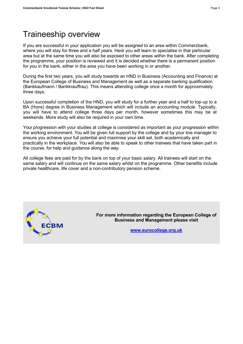## <span id="page-3-0"></span>Traineeship overview

If you are successful in your application you will be assigned to an area within Commerzbank, where you will stay for three and a half years. Here you will learn to specialise in that particular area but at the same time you will also be exposed to other areas within the bank. After completing the programme, your position is reviewed and it is decided whether there is a permanent position for you in the bank, either in the area you have been working in or another.

During the first two years, you will study towards an HND in Business (Accounting and Finance) at the European College of Business and Management as well as a separate banking qualification (Bankkaufmann / Bankkrauffrau). This means attending college once a month for approximately three days.

Upon successful completion of the HND, you will study for a further year and a half to top-up to a BA (Hons) degree in Business Management which will include an accounting module. Typically, you will have to attend college three days per month, however sometimes this may be at weekends. More study will also be required in your own time.

Your progression with your studies at college is considered as important as your progression within the working environment. You will be given full support by the college and by your line manager to ensure you achieve your full potential and maximise your skill set, both academically and practically in the workplace. You will also be able to speak to other trainees that have taken part in the course, for help and guidance along the way.

All college fees are paid for by the bank on top of your basic salary. All trainees will start on the same salary and will continue on the same salary whilst on the programme. Other benefits include private healthcare, life cover and a non-contributory pension scheme.



**For more information regarding the European College of Business and Management please visit**

**[www.eurocollege.org.uk](http://www.eurocollege.org.uk/)**